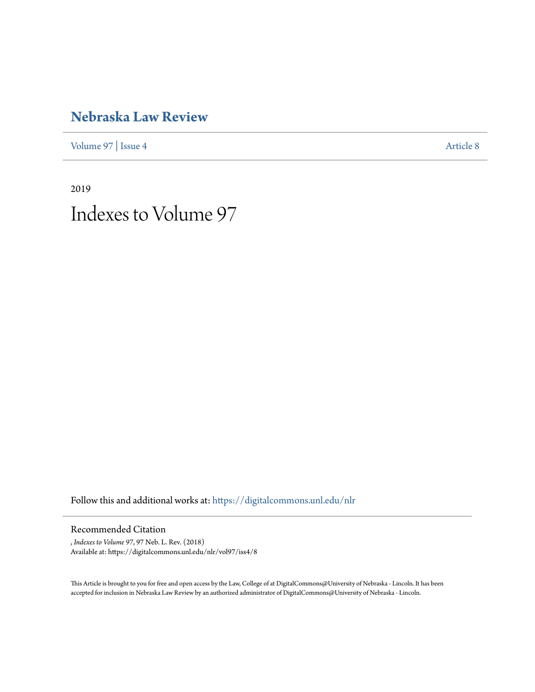# **[Nebraska Law Review](https://digitalcommons.unl.edu/nlr?utm_source=digitalcommons.unl.edu%2Fnlr%2Fvol97%2Fiss4%2F8&utm_medium=PDF&utm_campaign=PDFCoverPages)**

[Volume 97](https://digitalcommons.unl.edu/nlr/vol97?utm_source=digitalcommons.unl.edu%2Fnlr%2Fvol97%2Fiss4%2F8&utm_medium=PDF&utm_campaign=PDFCoverPages) | [Issue 4](https://digitalcommons.unl.edu/nlr/vol97/iss4?utm_source=digitalcommons.unl.edu%2Fnlr%2Fvol97%2Fiss4%2F8&utm_medium=PDF&utm_campaign=PDFCoverPages) [Article 8](https://digitalcommons.unl.edu/nlr/vol97/iss4/8?utm_source=digitalcommons.unl.edu%2Fnlr%2Fvol97%2Fiss4%2F8&utm_medium=PDF&utm_campaign=PDFCoverPages)

2019 Indexes to Volume 97

Follow this and additional works at: [https://digitalcommons.unl.edu/nlr](https://digitalcommons.unl.edu/nlr?utm_source=digitalcommons.unl.edu%2Fnlr%2Fvol97%2Fiss4%2F8&utm_medium=PDF&utm_campaign=PDFCoverPages)

Recommended Citation

, *Indexes to Volume 97*, 97 Neb. L. Rev. (2018) Available at: https://digitalcommons.unl.edu/nlr/vol97/iss4/8

This Article is brought to you for free and open access by the Law, College of at DigitalCommons@University of Nebraska - Lincoln. It has been accepted for inclusion in Nebraska Law Review by an authorized administrator of DigitalCommons@University of Nebraska - Lincoln.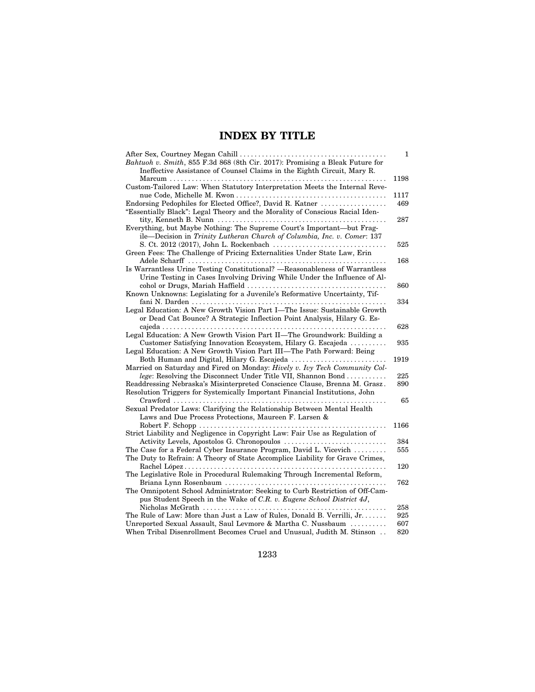#### **INDEX BY TITLE**

|                                                                                                                         | 1    |
|-------------------------------------------------------------------------------------------------------------------------|------|
| Bahtuoh v. Smith, 855 F.3d 868 (8th Cir. 2017): Promising a Bleak Future for                                            |      |
| Ineffective Assistance of Counsel Claims in the Eighth Circuit, Mary R.                                                 |      |
|                                                                                                                         | 1198 |
| Custom-Tailored Law: When Statutory Interpretation Meets the Internal Reve-                                             |      |
|                                                                                                                         | 1117 |
| Endorsing Pedophiles for Elected Office?, David R. Katner                                                               | 469  |
| "Essentially Black": Legal Theory and the Morality of Conscious Racial Iden-                                            |      |
| tity, Kenneth B. Nunn $\dots \dots \dots \dots \dots \dots \dots \dots \dots \dots \dots \dots \dots \dots \dots \dots$ | 287  |
| Everything, but Maybe Nothing: The Supreme Court's Important-but Frag-                                                  |      |
| ile-Decision in Trinity Lutheran Church of Columbia, Inc. v. Comer: 137                                                 |      |
|                                                                                                                         | 525  |
| Green Fees: The Challenge of Pricing Externalities Under State Law, Erin                                                |      |
|                                                                                                                         | 168  |
| Is Warrantless Urine Testing Constitutional? —Reasonableness of Warrantless                                             |      |
| Urine Testing in Cases Involving Driving While Under the Influence of Al-                                               |      |
|                                                                                                                         | 860  |
| Known Unknowns: Legislating for a Juvenile's Reformative Uncertainty, Tif-                                              |      |
|                                                                                                                         | 334  |
| Legal Education: A New Growth Vision Part I-The Issue: Sustainable Growth                                               |      |
| or Dead Cat Bounce? A Strategic Inflection Point Analysis, Hilary G. Es-                                                |      |
|                                                                                                                         | 628  |
| Legal Education: A New Growth Vision Part II—The Groundwork: Building a                                                 |      |
| Customer Satisfying Innovation Ecosystem, Hilary G. Escajeda                                                            | 935  |
| Legal Education: A New Growth Vision Part III—The Path Forward: Being                                                   |      |
| Both Human and Digital, Hilary G. Escajeda                                                                              | 1919 |
| Married on Saturday and Fired on Monday: Hively v. Ivy Tech Community Col-                                              |      |
| lege: Resolving the Disconnect Under Title VII, Shannon Bond                                                            | 225  |
| Readdressing Nebraska's Misinterpreted Conscience Clause, Brenna M. Grasz.                                              | 890  |
| Resolution Triggers for Systemically Important Financial Institutions, John                                             |      |
|                                                                                                                         | 65   |
| Sexual Predator Laws: Clarifying the Relationship Between Mental Health                                                 |      |
| Laws and Due Process Protections, Maureen F. Larsen &                                                                   |      |
| .                                                                                                                       | 1166 |
| Strict Liability and Negligence in Copyright Law: Fair Use as Regulation of                                             |      |
| Activity Levels, Apostolos G. Chronopoulos                                                                              | 384  |
| The Case for a Federal Cyber Insurance Program, David L. Vicevich                                                       | 555  |
| The Duty to Refrain: A Theory of State Accomplice Liability for Grave Crimes,                                           |      |
|                                                                                                                         | 120  |
| The Legislative Role in Procedural Rulemaking Through Incremental Reform,                                               |      |
|                                                                                                                         | 762  |
| The Omnipotent School Administrator: Seeking to Curb Restriction of Off-Cam-                                            |      |
| pus Student Speech in the Wake of C.R. v. Eugene School District 4J,                                                    |      |
|                                                                                                                         | 258  |
| The Rule of Law: More than Just a Law of Rules, Donald B. Verrilli, Jr                                                  | 925  |
| Unreported Sexual Assault, Saul Levmore & Martha C. Nussbaum                                                            | 607  |
| When Tribal Disenrollment Becomes Cruel and Unusual, Judith M. Stinson                                                  | 820  |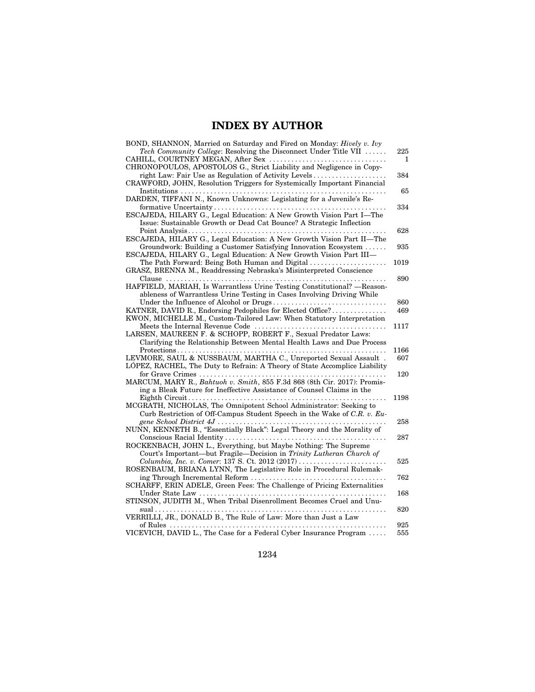## **INDEX BY AUTHOR**

| BOND, SHANNON, Married on Saturday and Fired on Monday: Hively v. Ivy<br>Tech Community College: Resolving the Disconnect Under Title VII    | 225          |
|----------------------------------------------------------------------------------------------------------------------------------------------|--------------|
|                                                                                                                                              | $\mathbf{1}$ |
| CHRONOPOULOS, APOSTOLOS G., Strict Liability and Negligence in Copy-                                                                         |              |
| right Law: Fair Use as Regulation of Activity Levels                                                                                         | 384          |
| CRAWFORD, JOHN, Resolution Triggers for Systemically Important Financial                                                                     |              |
| DARDEN, TIFFANI N., Known Unknowns: Legislating for a Juvenile's Re-                                                                         | 65           |
|                                                                                                                                              | 334          |
| ESCAJEDA, HILARY G., Legal Education: A New Growth Vision Part I-The<br>Issue: Sustainable Growth or Dead Cat Bounce? A Strategic Inflection |              |
| ESCAJEDA, HILARY G., Legal Education: A New Growth Vision Part II—The                                                                        | 628          |
| Groundwork: Building a Customer Satisfying Innovation Ecosystem                                                                              | 935          |
| ESCAJEDA, HILARY G., Legal Education: A New Growth Vision Part III-                                                                          |              |
| The Path Forward: Being Both Human and Digital                                                                                               | 1019         |
| GRASZ, BRENNA M., Readdressing Nebraska's Misinterpreted Conscience                                                                          |              |
|                                                                                                                                              | 890          |
| HAFFIELD, MARIAH, Is Warrantless Urine Testing Constitutional? -Reason-                                                                      |              |
| ableness of Warrantless Urine Testing in Cases Involving Driving While                                                                       |              |
| KATNER, DAVID R., Endorsing Pedophiles for Elected Office?                                                                                   | 860<br>469   |
| KWON, MICHELLE M., Custom-Tailored Law: When Statutory Interpretation                                                                        |              |
|                                                                                                                                              | 1117         |
| LARSEN, MAUREEN F. & SCHOPP, ROBERT F., Sexual Predator Laws:                                                                                |              |
| Clarifying the Relationship Between Mental Health Laws and Due Process                                                                       |              |
|                                                                                                                                              | 1166         |
| LEVMORE, SAUL & NUSSBAUM, MARTHA C., Unreported Sexual Assault.                                                                              | 607          |
| LÓPEZ, RACHEL, The Duty to Refrain: A Theory of State Accomplice Liability                                                                   | 120          |
| MARCUM, MARY R., Bahtuoh v. Smith, 855 F.3d 868 (8th Cir. 2017): Promis-                                                                     |              |
| ing a Bleak Future for Ineffective Assistance of Counsel Claims in the                                                                       |              |
|                                                                                                                                              | 1198         |
| MCGRATH, NICHOLAS, The Omnipotent School Administrator: Seeking to                                                                           |              |
| Curb Restriction of Off-Campus Student Speech in the Wake of C.R. v. Eu-                                                                     |              |
|                                                                                                                                              | 258          |
| NUNN, KENNETH B., "Essentially Black": Legal Theory and the Morality of                                                                      |              |
| ROCKENBACH, JOHN L., Everything, but Maybe Nothing: The Supreme                                                                              | 287          |
| Court's Important—but Fragile—Decision in Trinity Lutheran Church of                                                                         |              |
| Columbia, Inc. v. Comer: 137 S. Ct. 2012 (2017)                                                                                              | 525          |
| ROSENBAUM, BRIANA LYNN, The Legislative Role in Procedural Rulemak-                                                                          |              |
|                                                                                                                                              | 762          |
| SCHARFF, ERIN ADELE, Green Fees: The Challenge of Pricing Externalities                                                                      |              |
|                                                                                                                                              | 168          |
| STINSON, JUDITH M., When Tribal Disenrollment Becomes Cruel and Unu-                                                                         | 820          |
| VERRILLI, JR., DONALD B., The Rule of Law: More than Just a Law                                                                              |              |
|                                                                                                                                              | 925          |
| VICEVICH, DAVID L., The Case for a Federal Cyber Insurance Program                                                                           | 555          |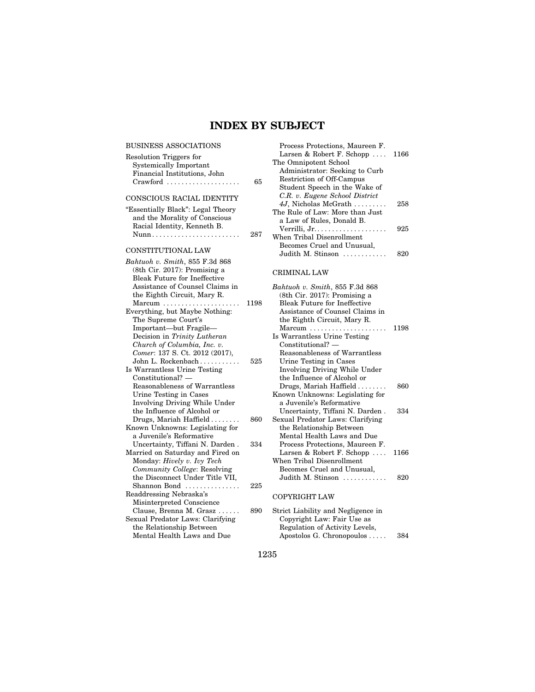## **INDEX BY SUBJECT**

| BUSINESS ASSOCIATIONS                  |      | Process Protections, Maureen F.    |      |
|----------------------------------------|------|------------------------------------|------|
| Resolution Triggers for                |      | Larsen & Robert F. Schopp          | 1166 |
| <b>Systemically Important</b>          |      | The Omnipotent School              |      |
| Financial Institutions, John           |      | Administrator: Seeking to Curb     |      |
|                                        | 65   | Restriction of Off-Campus          |      |
|                                        |      | Student Speech in the Wake of      |      |
| CONSCIOUS RACIAL IDENTITY              |      | C.R. v. Eugene School District     |      |
| "Essentially Black": Legal Theory      |      | 4J, Nicholas McGrath               | 258  |
| and the Morality of Conscious          |      | The Rule of Law: More than Just    |      |
| Racial Identity, Kenneth B.            |      | a Law of Rules, Donald B.          |      |
|                                        | 287  |                                    | 925  |
|                                        |      | When Tribal Disenrollment          |      |
| CONSTITUTIONAL LAW                     |      | Becomes Cruel and Unusual,         |      |
|                                        |      | Judith M. Stinson                  | 820  |
| Bahtuoh v. Smith, 855 F.3d 868         |      |                                    |      |
| (8th Cir. 2017): Promising a           |      | <b>CRIMINAL LAW</b>                |      |
| <b>Bleak Future for Ineffective</b>    |      |                                    |      |
| Assistance of Counsel Claims in        |      | Bahtuoh v. Smith, 855 F.3d 868     |      |
| the Eighth Circuit, Mary R.            |      | $(8th$ Cir. 2017): Promising a     |      |
| $Marcum \dots \dots \dots \dots \dots$ | 1198 | Bleak Future for Ineffective       |      |
| Everything, but Maybe Nothing:         |      | Assistance of Counsel Claims in    |      |
| The Supreme Court's                    |      | the Eighth Circuit, Mary R.        |      |
| Important-but Fragile-                 |      | $Marcum$                           | 1198 |
| Decision in Trinity Lutheran           |      | Is Warrantless Urine Testing       |      |
| Church of Columbia, Inc. v.            |      | $Constitutional?$ —                |      |
| Comer: 137 S. Ct. 2012 (2017),         |      | Reasonableness of Warrantless      |      |
| John L. Rockenbach                     | 525  | Urine Testing in Cases             |      |
| Is Warrantless Urine Testing           |      | Involving Driving While Under      |      |
| $Constitutional?$ —                    |      | the Influence of Alcohol or        |      |
| Reasonableness of Warrantless          |      | Drugs, Mariah Haffield             | 860  |
| Urine Testing in Cases                 |      | Known Unknowns: Legislating for    |      |
| Involving Driving While Under          |      | a Juvenile's Reformative           |      |
| the Influence of Alcohol or            |      | Uncertainty, Tiffani N. Darden.    | 334  |
| Drugs, Mariah Haffield                 | 860  | Sexual Predator Laws: Clarifying   |      |
| Known Unknowns: Legislating for        |      | the Relationship Between           |      |
| a Juvenile's Reformative               |      | Mental Health Laws and Due         |      |
| Uncertainty, Tiffani N. Darden.        | 334  | Process Protections, Maureen F.    |      |
| Married on Saturday and Fired on       |      | Larsen & Robert F. Schopp $\ldots$ | 1166 |
| Monday: Hively v. Ivy Tech             |      | When Tribal Disenrollment          |      |
| Community College: Resolving           |      | Becomes Cruel and Unusual,         |      |
| the Disconnect Under Title VII,        |      | Judith M. Stinson                  | 820  |
| Shannon Bond                           | 225  |                                    |      |
| Readdressing Nebraska's                |      | <b>COPYRIGHT LAW</b>               |      |
| Misinterpreted Conscience              |      |                                    |      |
| Clause, Brenna M. Grasz                | 890  | Strict Liability and Negligence in |      |
| Sexual Predator Laws: Clarifying       |      | Copyright Law: Fair Use as         |      |
| the Relationship Between               |      | Regulation of Activity Levels,     |      |
| Mental Health Laws and Due             |      | Apostolos G. Chronopoulos          | 384  |
|                                        |      |                                    |      |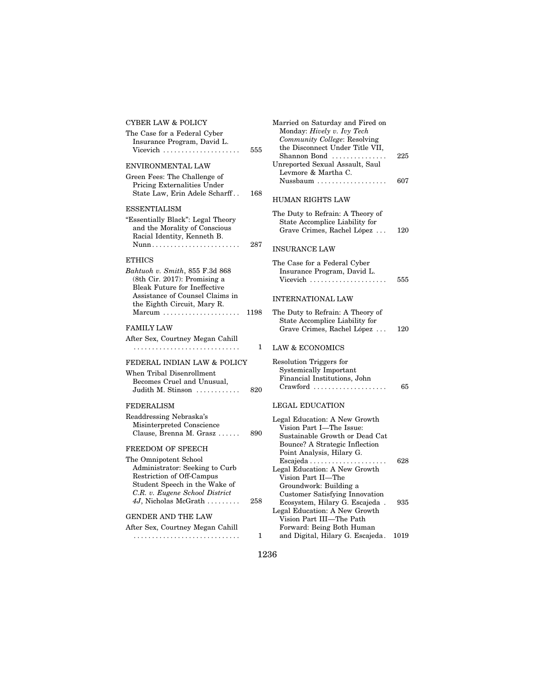| CYBER LAW & POLICY                                                                                              |      | Married on Saturday and Fired on                                                                              |      |
|-----------------------------------------------------------------------------------------------------------------|------|---------------------------------------------------------------------------------------------------------------|------|
| The Case for a Federal Cyber<br>Insurance Program, David L.<br>Vicevich $\ldots$                                | 555  | Monday: Hively v. Ivy Tech<br>Community College: Resolving<br>the Disconnect Under Title VII,<br>Shannon Bond | 225  |
| ENVIRONMENTAL LAW                                                                                               |      | Unreported Sexual Assault, Saul                                                                               |      |
| Green Fees: The Challenge of<br><b>Pricing Externalities Under</b>                                              |      | Levmore & Martha C.<br>Nussbaum                                                                               | 607  |
| State Law, Erin Adele Scharff                                                                                   | 168  | <b>HUMAN RIGHTS LAW</b>                                                                                       |      |
| ESSENTIALISM                                                                                                    |      | The Duty to Refrain: A Theory of                                                                              |      |
| "Essentially Black": Legal Theory<br>and the Morality of Conscious<br>Racial Identity, Kenneth B.               |      | State Accomplice Liability for<br>Grave Crimes, Rachel López                                                  | 120  |
| Nunn                                                                                                            | 287  | <b>INSURANCE LAW</b>                                                                                          |      |
| ETHICS<br>Bahtuoh v. Smith, 855 F.3d 868<br>(8th Cir. 2017): Promising a<br><b>Bleak Future for Ineffective</b> |      | The Case for a Federal Cyber<br>Insurance Program, David L.<br>Vicevich                                       | 555  |
| Assistance of Counsel Claims in                                                                                 |      | <b>INTERNATIONAL LAW</b>                                                                                      |      |
| the Eighth Circuit, Mary R.<br>$\text{Marcum}$                                                                  | 1198 | The Duty to Refrain: A Theory of<br>State Accomplice Liability for                                            |      |
| FAMILY LAW                                                                                                      |      | Grave Crimes, Rachel López                                                                                    | 120  |
| After Sex, Courtney Megan Cahill                                                                                | 1    | <b>LAW &amp; ECONOMICS</b>                                                                                    |      |
|                                                                                                                 |      |                                                                                                               |      |
| FEDERAL INDIAN LAW & POLICY                                                                                     |      | Resolution Triggers for<br><b>Systemically Important</b>                                                      |      |
| When Tribal Disenrollment<br>Becomes Cruel and Unusual,                                                         |      | Financial Institutions, John                                                                                  |      |
| Judith M. Stinson                                                                                               | 820  | $Crawford$                                                                                                    | 65   |
| FEDERALISM                                                                                                      |      | <b>LEGAL EDUCATION</b>                                                                                        |      |
| Readdressing Nebraska's                                                                                         |      | Legal Education: A New Growth                                                                                 |      |
| Misinterpreted Conscience<br>Clause, Brenna M. Grasz                                                            | 890  | Vision Part I-The Issue:<br>Sustainable Growth or Dead Cat                                                    |      |
| FREEDOM OF SPEECH                                                                                               |      | Bounce? A Strategic Inflection<br>Point Analysis, Hilary G.                                                   |      |
| The Omnipotent School                                                                                           |      |                                                                                                               | 628  |
| Administrator: Seeking to Curb<br>Restriction of Off-Campus                                                     |      | Legal Education: A New Growth                                                                                 |      |
| Student Speech in the Wake of                                                                                   |      | Vision Part II—The<br>Groundwork: Building a                                                                  |      |
| C.R. v. Eugene School District                                                                                  |      | <b>Customer Satisfying Innovation</b>                                                                         |      |
| 4J, Nicholas McGrath                                                                                            | 258  | Ecosystem, Hilary G. Escajeda.                                                                                | 935  |
| GENDER AND THE LAW                                                                                              |      | Legal Education: A New Growth<br>Vision Part III-The Path                                                     |      |
| After Sex, Courtney Megan Cahill                                                                                |      | Forward: Being Both Human                                                                                     |      |
|                                                                                                                 | 1    | and Digital, Hilary G. Escajeda.                                                                              | 1019 |
|                                                                                                                 |      |                                                                                                               |      |